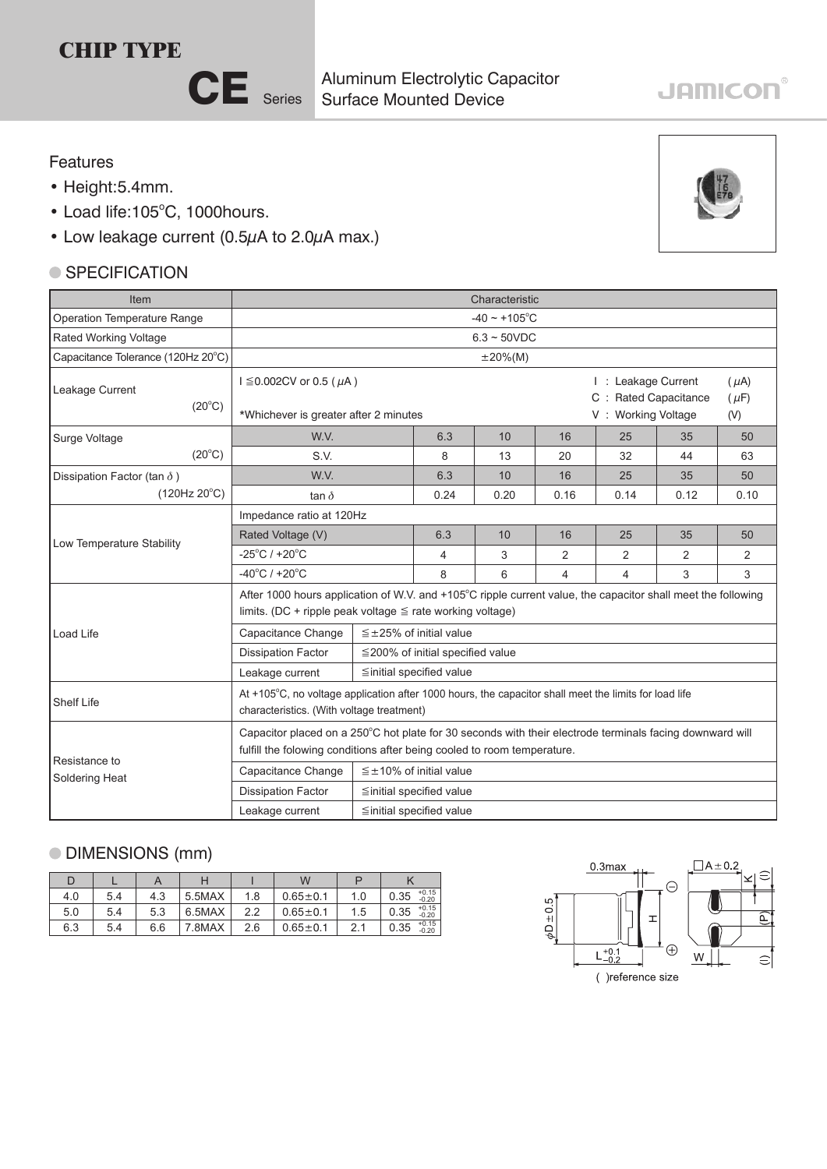# **CHIP TYPE**



Surface Mounted Device Aluminum Electrolytic Capacitor

# **JAMICON®**

#### Features

- Height:5.4mm.
- Load life:105°C, 1000hours.
- Low leakage current (0.5µA to 2.0µA max.)

### ● SPECIFICATION

| Item                               | Characteristic                                                                                                                                                                      |                                        |                                  |      |                                                                                                    |                |      |    |  |  |  |
|------------------------------------|-------------------------------------------------------------------------------------------------------------------------------------------------------------------------------------|----------------------------------------|----------------------------------|------|----------------------------------------------------------------------------------------------------|----------------|------|----|--|--|--|
| Operation Temperature Range        | $-40 \sim +105$ °C                                                                                                                                                                  |                                        |                                  |      |                                                                                                    |                |      |    |  |  |  |
| Rated Working Voltage              | $6.3 \sim 50$ VDC                                                                                                                                                                   |                                        |                                  |      |                                                                                                    |                |      |    |  |  |  |
| Capacitance Tolerance (120Hz 20°C) | $\pm 20\%$ (M)                                                                                                                                                                      |                                        |                                  |      |                                                                                                    |                |      |    |  |  |  |
| Leakage Current<br>$(20^{\circ}C)$ | $I \le 0.002$ CV or 0.5 ( $\mu$ A)<br>*Whichever is greater after 2 minutes                                                                                                         |                                        |                                  |      | I: Leakage Current<br>$(\mu A)$<br>C : Rated Capacitance<br>$(\mu F)$<br>V: Working Voltage<br>(V) |                |      |    |  |  |  |
| Surge Voltage                      | W.V.                                                                                                                                                                                |                                        | 6.3                              | 10   | 16                                                                                                 | 25             | 35   | 50 |  |  |  |
| $(20^{\circ}C)$                    | S.V.                                                                                                                                                                                |                                        | 8<br>13                          |      | 20                                                                                                 | 32             | 44   | 63 |  |  |  |
| Dissipation Factor (tan $\delta$ ) | W.V.                                                                                                                                                                                | 6.3                                    | 10                               | 16   | 25                                                                                                 | 35             | 50   |    |  |  |  |
| $(120Hz 20^{\circ}C)$              | tan $\delta$                                                                                                                                                                        | 0.24                                   | 0.20                             | 0.16 | 0.14                                                                                               | 0.12           | 0.10 |    |  |  |  |
|                                    | Impedance ratio at 120Hz                                                                                                                                                            |                                        |                                  |      |                                                                                                    |                |      |    |  |  |  |
| Low Temperature Stability          | Rated Voltage (V)                                                                                                                                                                   | 6.3                                    | 10                               | 16   | 25                                                                                                 | 35             | 50   |    |  |  |  |
|                                    | $-25^{\circ}$ C / +20 $^{\circ}$ C                                                                                                                                                  | 4                                      | 3                                | 2    | 2                                                                                                  | $\overline{2}$ | 2    |    |  |  |  |
|                                    | $-40^{\circ}$ C / +20 $^{\circ}$ C                                                                                                                                                  |                                        | 8                                | 6    | 4                                                                                                  | $\overline{4}$ | 3    | 3  |  |  |  |
|                                    | After 1000 hours application of W.V. and +105°C ripple current value, the capacitor shall meet the following<br>limits. (DC + ripple peak voltage $\leq$ rate working voltage)      |                                        |                                  |      |                                                                                                    |                |      |    |  |  |  |
| Load Life                          | Capacitance Change                                                                                                                                                                  |                                        | $\leq \pm 25\%$ of initial value |      |                                                                                                    |                |      |    |  |  |  |
|                                    | <b>Dissipation Factor</b>                                                                                                                                                           | $\leq$ 200% of initial specified value |                                  |      |                                                                                                    |                |      |    |  |  |  |
|                                    | Leakage current                                                                                                                                                                     | $\leq$ initial specified value         |                                  |      |                                                                                                    |                |      |    |  |  |  |
| <b>Shelf Life</b>                  | At +105°C, no voltage application after 1000 hours, the capacitor shall meet the limits for load life<br>characteristics. (With voltage treatment)                                  |                                        |                                  |      |                                                                                                    |                |      |    |  |  |  |
| Resistance to                      | Capacitor placed on a 250°C hot plate for 30 seconds with their electrode terminals facing downward will<br>fulfill the folowing conditions after being cooled to room temperature. |                                        |                                  |      |                                                                                                    |                |      |    |  |  |  |
| Soldering Heat                     | Capacitance Change                                                                                                                                                                  | $\leq \pm 10\%$ of initial value       |                                  |      |                                                                                                    |                |      |    |  |  |  |
|                                    | <b>Dissipation Factor</b>                                                                                                                                                           | $\leq$ initial specified value         |                                  |      |                                                                                                    |                |      |    |  |  |  |
|                                    | Leakage current<br>≦initial specified value                                                                                                                                         |                                        |                                  |      |                                                                                                    |                |      |    |  |  |  |

## DIMENSIONS (mm)

|     |     |     |        |     | W            |           |                            |  |
|-----|-----|-----|--------|-----|--------------|-----------|----------------------------|--|
| 4.0 | 5.4 | 4.3 | 5.5MAX | 1.8 | $0.65 + 0.1$ | 1.0       | $+0.15$<br>0.35<br>$-0.20$ |  |
| 5.0 | 5.4 | 5.3 | 6.5MAX | っっ  | $0.65 + 0.1$ | 1.5       | $+0.15$<br>0.35<br>$-0.20$ |  |
| 6.3 | 5.4 | 6.6 | 7.8MAX | 2.6 | $0.65 + 0.1$ | <b>21</b> | $+0.15$<br>0.35<br>$-0.20$ |  |